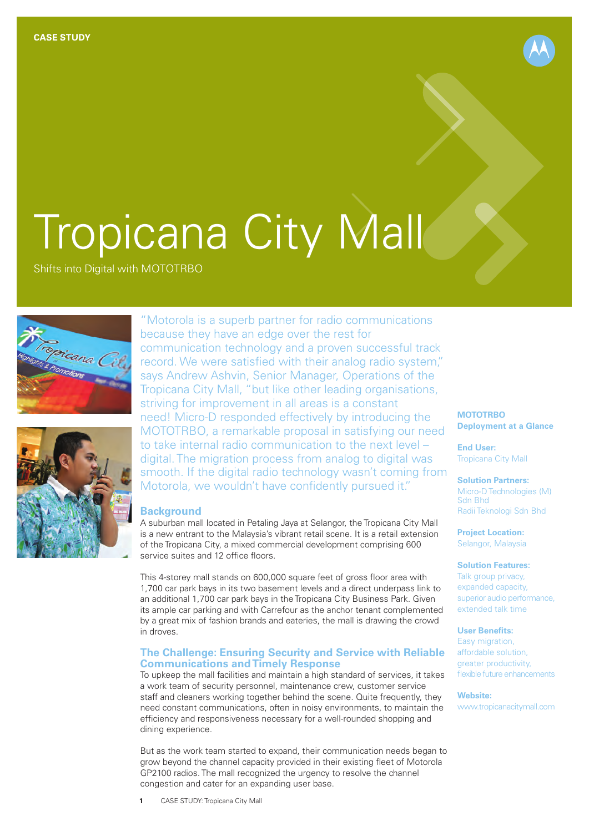

Shifts into Digital with MOTOTRBO





"Motorola is a superb partner for radio communications because they have an edge over the rest for communication technology and a proven successful track record. We were satisfied with their analog radio system," says Andrew Ashvin, Senior Manager, Operations of the Tropicana City Mall, "but like other leading organisations, striving for improvement in all areas is a constant need! Micro-D responded effectively by introducing the MOTOTRBO, a remarkable proposal in satisfying our need to take internal radio communication to the next level – digital. The migration process from analog to digital was smooth. If the digital radio technology wasn't coming from Motorola, we wouldn't have confidently pursued it."

### **Background**

A suburban mall located in Petaling Jaya at Selangor, the Tropicana City Mall is a new entrant to the Malaysia's vibrant retail scene. It is a retail extension of the Tropicana City, a mixed commercial development comprising 600 service suites and 12 office floors.

This 4-storey mall stands on 600,000 square feet of gross floor area with 1,700 car park bays in its two basement levels and a direct underpass link to an additional 1,700 car park bays in the Tropicana City Business Park. Given its ample car parking and with Carrefour as the anchor tenant complemented by a great mix of fashion brands and eateries, the mall is drawing the crowd in droves.

## **The Challenge: Ensuring Security and Service with Reliable Communications and Timely Response**

To upkeep the mall facilities and maintain a high standard of services, it takes a work team of security personnel, maintenance crew, customer service staff and cleaners working together behind the scene. Quite frequently, they need constant communications, often in noisy environments, to maintain the efficiency and responsiveness necessary for a well-rounded shopping and dining experience.

But as the work team started to expand, their communication needs began to grow beyond the channel capacity provided in their existing fleet of Motorola GP2100 radios. The mall recognized the urgency to resolve the channel congestion and cater for an expanding user base.

## **MOTOTRBO Deployment at a Glance**

**End User:** Tropicana City Mall

**Solution Partners:** Micro-D Technologies (M) Sdn Bhd Radii Teknologi Sdn Bhd

**Project Location:** Selangor, Malaysia

#### **Solution Features:**

Talk group privacy, expanded capacity, superior audio performance, extended talk time

### **User Benefits:**

Easy migration, affordable solution, greater productivity, flexible future enhancements

**Website:** www.tropicanacitymall.com